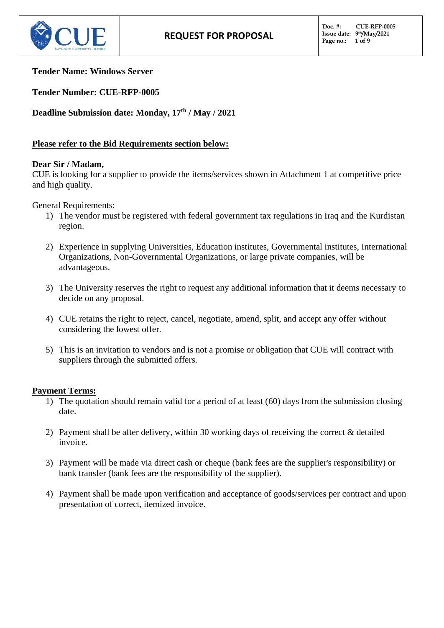

### **Tender Name: Windows Server**

**Tender Number: CUE-RFP-0005**

**Deadline Submission date: Monday, 17 th / May / 2021**

# **Please refer to the Bid Requirements section below:**

## **Dear Sir / Madam,**

CUE is looking for a supplier to provide the items/services shown in Attachment 1 at competitive price and high quality.

General Requirements:

- 1) The vendor must be registered with federal government tax regulations in Iraq and the Kurdistan region.
- 2) Experience in supplying Universities, Education institutes, Governmental institutes, International Organizations, Non-Governmental Organizations, or large private companies, will be advantageous.
- 3) The University reserves the right to request any additional information that it deems necessary to decide on any proposal.
- 4) CUE retains the right to reject, cancel, negotiate, amend, split, and accept any offer without considering the lowest offer.
- 5) This is an invitation to vendors and is not a promise or obligation that CUE will contract with suppliers through the submitted offers.

## **Payment Terms:**

- 1) The quotation should remain valid for a period of at least (60) days from the submission closing date.
- 2) Payment shall be after delivery, within 30 working days of receiving the correct & detailed invoice.
- 3) Payment will be made via direct cash or cheque (bank fees are the supplier's responsibility) or bank transfer (bank fees are the responsibility of the supplier).
- 4) Payment shall be made upon verification and acceptance of goods/services per contract and upon presentation of correct, itemized invoice.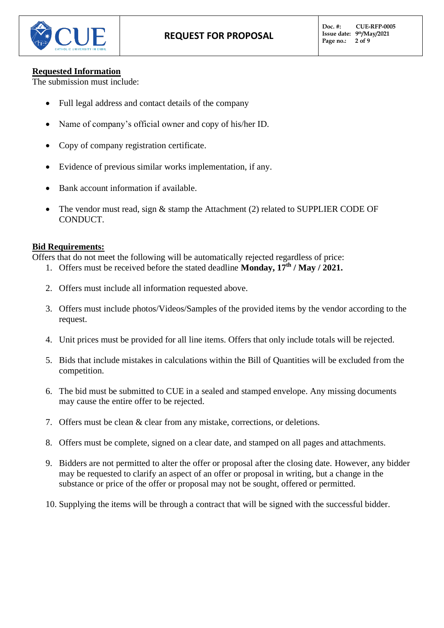

### **Requested Information**

The submission must include:

- Full legal address and contact details of the company
- Name of company's official owner and copy of his/her ID.
- Copy of company registration certificate.
- Evidence of previous similar works implementation, if any.
- Bank account information if available.
- The vendor must read, sign  $\&$  stamp the Attachment (2) related to SUPPLIER CODE OF CONDUCT.

### **Bid Requirements:**

Offers that do not meet the following will be automatically rejected regardless of price:

- 1. Offers must be received before the stated deadline **Monday**,  $17^{\text{th}}$  / May / 2021.
- 2. Offers must include all information requested above.
- 3. Offers must include photos/Videos/Samples of the provided items by the vendor according to the request.
- 4. Unit prices must be provided for all line items. Offers that only include totals will be rejected.
- 5. Bids that include mistakes in calculations within the Bill of Quantities will be excluded from the competition.
- 6. The bid must be submitted to CUE in a sealed and stamped envelope. Any missing documents may cause the entire offer to be rejected.
- 7. Offers must be clean & clear from any mistake, corrections, or deletions.
- 8. Offers must be complete, signed on a clear date, and stamped on all pages and attachments.
- 9. Bidders are not permitted to alter the offer or proposal after the closing date. However, any bidder may be requested to clarify an aspect of an offer or proposal in writing, but a change in the substance or price of the offer or proposal may not be sought, offered or permitted.
- 10. Supplying the items will be through a contract that will be signed with the successful bidder.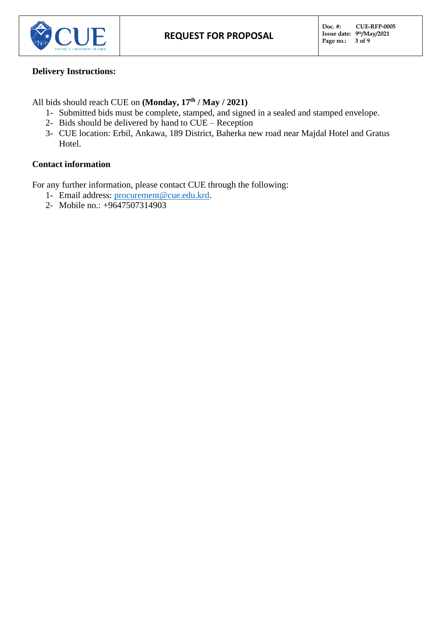

## **Delivery Instructions:**

All bids should reach CUE on **(Monday, 17 th / May / 2021)**

- 1- Submitted bids must be complete, stamped, and signed in a sealed and stamped envelope.
- 2- Bids should be delivered by hand to CUE Reception
- 3- CUE location: Erbil, Ankawa, 189 District, Baherka new road near Majdal Hotel and Gratus Hotel.

# **Contact information**

For any further information, please contact CUE through the following:

- 1- Email address: [procurement@cue.edu.krd.](mailto:procurement@cue.edu.krd)
- 2- Mobile no.: +9647507314903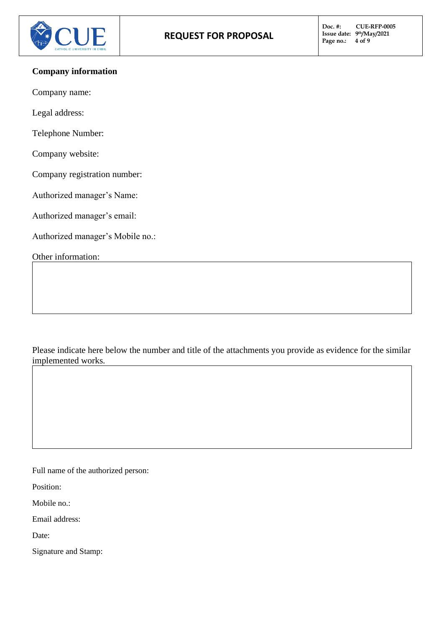

### **Company information**

Company name:

Legal address:

Telephone Number:

Company website:

Company registration number:

Authorized manager's Name:

Authorized manager's email:

Authorized manager's Mobile no.:

Other information:

Please indicate here below the number and title of the attachments you provide as evidence for the similar implemented works.

Full name of the authorized person:

Position:

Mobile no.:

Email address:

Date:

Signature and Stamp: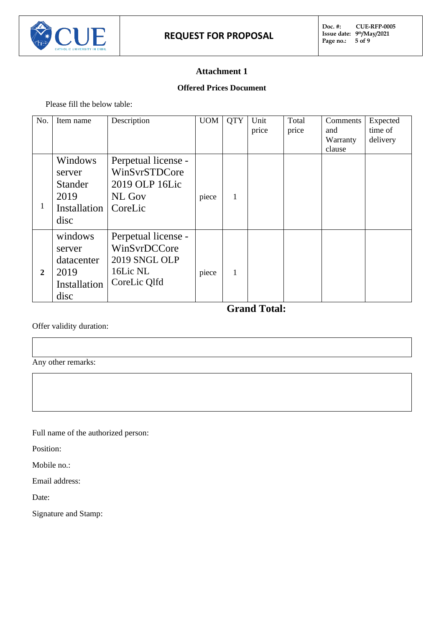

# **Attachment 1**

### **Offered Prices Document**

Please fill the below table:

| No.            | Item name                                                           | Description                                                                      | <b>UOM</b> | <b>QTY</b> | Unit<br>price | Total<br>price | Comments<br>and    | Expected<br>time of |
|----------------|---------------------------------------------------------------------|----------------------------------------------------------------------------------|------------|------------|---------------|----------------|--------------------|---------------------|
|                |                                                                     |                                                                                  |            |            |               |                | Warranty<br>clause | delivery            |
| 1              | Windows<br>server<br><b>Stander</b><br>2019<br>Installation<br>disc | Perpetual license -<br>WinSvrSTDCore<br>2019 OLP 16Lic<br>NL Gov<br>CoreLic      | piece      | 1          |               |                |                    |                     |
| $\overline{2}$ | windows<br>server<br>datacenter<br>2019<br>Installation<br>disc     | Perpetual license -<br>WinSvrDCCore<br>2019 SNGL OLP<br>16Lic NL<br>CoreLic Qlfd | piece      | 1          |               |                |                    |                     |

 **Grand Total:** 

Offer validity duration:

Any other remarks:

Full name of the authorized person:

Position:

Mobile no.:

Email address:

Date:

Signature and Stamp: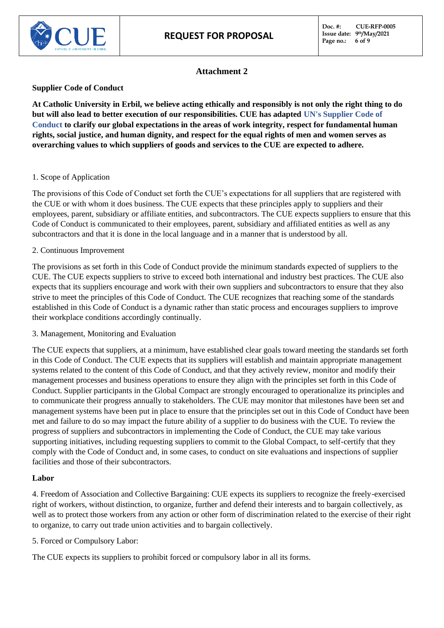**Doc. #: CUE-RFP-0005 Issue date: 9 th/May/2021 Page no.: 6 of 9**



### **Attachment 2**

#### **Supplier Code of Conduct**

**At Catholic University in Erbil, we believe acting ethically and responsibly is not only the right thing to do but will also lead to better execution of our responsibilities. CUE has adapted UN's Supplier Code of Conduct to clarify our global expectations in the areas of work integrity, respect for fundamental human rights, social justice, and human dignity, and respect for the equal rights of men and women serves as overarching values to which suppliers of goods and services to the CUE are expected to adhere.** 

#### 1. Scope of Application

The provisions of this Code of Conduct set forth the CUE's expectations for all suppliers that are registered with the CUE or with whom it does business. The CUE expects that these principles apply to suppliers and their employees, parent, subsidiary or affiliate entities, and subcontractors. The CUE expects suppliers to ensure that this Code of Conduct is communicated to their employees, parent, subsidiary and affiliated entities as well as any subcontractors and that it is done in the local language and in a manner that is understood by all.

#### 2. Continuous Improvement

The provisions as set forth in this Code of Conduct provide the minimum standards expected of suppliers to the CUE. The CUE expects suppliers to strive to exceed both international and industry best practices. The CUE also expects that its suppliers encourage and work with their own suppliers and subcontractors to ensure that they also strive to meet the principles of this Code of Conduct. The CUE recognizes that reaching some of the standards established in this Code of Conduct is a dynamic rather than static process and encourages suppliers to improve their workplace conditions accordingly continually.

3. Management, Monitoring and Evaluation

The CUE expects that suppliers, at a minimum, have established clear goals toward meeting the standards set forth in this Code of Conduct. The CUE expects that its suppliers will establish and maintain appropriate management systems related to the content of this Code of Conduct, and that they actively review, monitor and modify their management processes and business operations to ensure they align with the principles set forth in this Code of Conduct. Supplier participants in the Global Compact are strongly encouraged to operationalize its principles and to communicate their progress annually to stakeholders. The CUE may monitor that milestones have been set and management systems have been put in place to ensure that the principles set out in this Code of Conduct have been met and failure to do so may impact the future ability of a supplier to do business with the CUE. To review the progress of suppliers and subcontractors in implementing the Code of Conduct, the CUE may take various supporting initiatives, including requesting suppliers to commit to the Global Compact, to self-certify that they comply with the Code of Conduct and, in some cases, to conduct on site evaluations and inspections of supplier facilities and those of their subcontractors.

#### **Labor**

4. Freedom of Association and Collective Bargaining: CUE expects its suppliers to recognize the freely-exercised right of workers, without distinction, to organize, further and defend their interests and to bargain collectively, as well as to protect those workers from any action or other form of discrimination related to the exercise of their right to organize, to carry out trade union activities and to bargain collectively.

5. Forced or Compulsory Labor:

The CUE expects its suppliers to prohibit forced or compulsory labor in all its forms.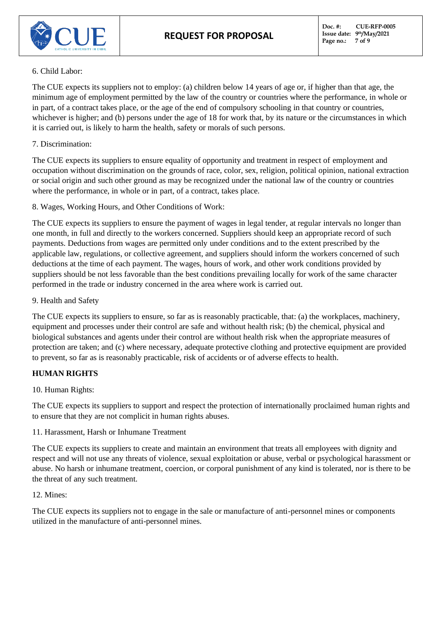

#### 6. Child Labor:

The CUE expects its suppliers not to employ: (a) children below 14 years of age or, if higher than that age, the minimum age of employment permitted by the law of the country or countries where the performance, in whole or in part, of a contract takes place, or the age of the end of compulsory schooling in that country or countries, whichever is higher; and (b) persons under the age of 18 for work that, by its nature or the circumstances in which it is carried out, is likely to harm the health, safety or morals of such persons.

#### 7. Discrimination:

The CUE expects its suppliers to ensure equality of opportunity and treatment in respect of employment and occupation without discrimination on the grounds of race, color, sex, religion, political opinion, national extraction or social origin and such other ground as may be recognized under the national law of the country or countries where the performance, in whole or in part, of a contract, takes place.

8. Wages, Working Hours, and Other Conditions of Work:

The CUE expects its suppliers to ensure the payment of wages in legal tender, at regular intervals no longer than one month, in full and directly to the workers concerned. Suppliers should keep an appropriate record of such payments. Deductions from wages are permitted only under conditions and to the extent prescribed by the applicable law, regulations, or collective agreement, and suppliers should inform the workers concerned of such deductions at the time of each payment. The wages, hours of work, and other work conditions provided by suppliers should be not less favorable than the best conditions prevailing locally for work of the same character performed in the trade or industry concerned in the area where work is carried out.

### 9. Health and Safety

The CUE expects its suppliers to ensure, so far as is reasonably practicable, that: (a) the workplaces, machinery, equipment and processes under their control are safe and without health risk; (b) the chemical, physical and biological substances and agents under their control are without health risk when the appropriate measures of protection are taken; and (c) where necessary, adequate protective clothing and protective equipment are provided to prevent, so far as is reasonably practicable, risk of accidents or of adverse effects to health.

## **HUMAN RIGHTS**

## 10. Human Rights:

The CUE expects its suppliers to support and respect the protection of internationally proclaimed human rights and to ensure that they are not complicit in human rights abuses.

11. Harassment, Harsh or Inhumane Treatment

The CUE expects its suppliers to create and maintain an environment that treats all employees with dignity and respect and will not use any threats of violence, sexual exploitation or abuse, verbal or psychological harassment or abuse. No harsh or inhumane treatment, coercion, or corporal punishment of any kind is tolerated, nor is there to be the threat of any such treatment.

#### 12. Mines:

The CUE expects its suppliers not to engage in the sale or manufacture of anti-personnel mines or components utilized in the manufacture of anti-personnel mines.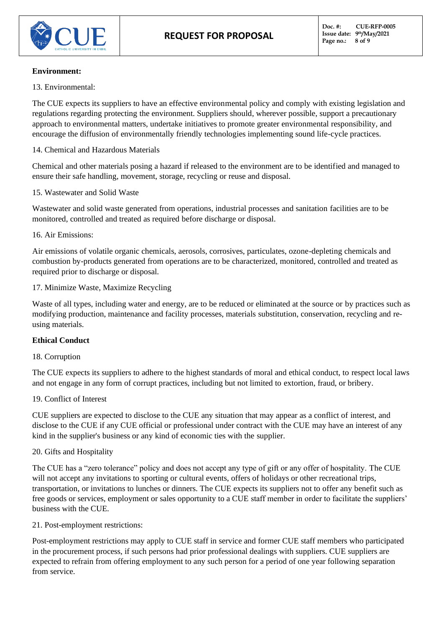

#### **Environment:**

13. Environmental:

The CUE expects its suppliers to have an effective environmental policy and comply with existing legislation and regulations regarding protecting the environment. Suppliers should, wherever possible, support a precautionary approach to environmental matters, undertake initiatives to promote greater environmental responsibility, and encourage the diffusion of environmentally friendly technologies implementing sound life-cycle practices.

14. Chemical and Hazardous Materials

Chemical and other materials posing a hazard if released to the environment are to be identified and managed to ensure their safe handling, movement, storage, recycling or reuse and disposal.

#### 15. Wastewater and Solid Waste

Wastewater and solid waste generated from operations, industrial processes and sanitation facilities are to be monitored, controlled and treated as required before discharge or disposal.

#### 16. Air Emissions:

Air emissions of volatile organic chemicals, aerosols, corrosives, particulates, ozone-depleting chemicals and combustion by-products generated from operations are to be characterized, monitored, controlled and treated as required prior to discharge or disposal.

#### 17. Minimize Waste, Maximize Recycling

Waste of all types, including water and energy, are to be reduced or eliminated at the source or by practices such as modifying production, maintenance and facility processes, materials substitution, conservation, recycling and reusing materials.

## **Ethical Conduct**

#### 18. Corruption

The CUE expects its suppliers to adhere to the highest standards of moral and ethical conduct, to respect local laws and not engage in any form of corrupt practices, including but not limited to extortion, fraud, or bribery.

#### 19. Conflict of Interest

CUE suppliers are expected to disclose to the CUE any situation that may appear as a conflict of interest, and disclose to the CUE if any CUE official or professional under contract with the CUE may have an interest of any kind in the supplier's business or any kind of economic ties with the supplier.

#### 20. Gifts and Hospitality

The CUE has a "zero tolerance" policy and does not accept any type of gift or any offer of hospitality. The CUE will not accept any invitations to sporting or cultural events, offers of holidays or other recreational trips, transportation, or invitations to lunches or dinners. The CUE expects its suppliers not to offer any benefit such as free goods or services, employment or sales opportunity to a CUE staff member in order to facilitate the suppliers' business with the CUE.

#### 21. Post-employment restrictions:

Post-employment restrictions may apply to CUE staff in service and former CUE staff members who participated in the procurement process, if such persons had prior professional dealings with suppliers. CUE suppliers are expected to refrain from offering employment to any such person for a period of one year following separation from service.